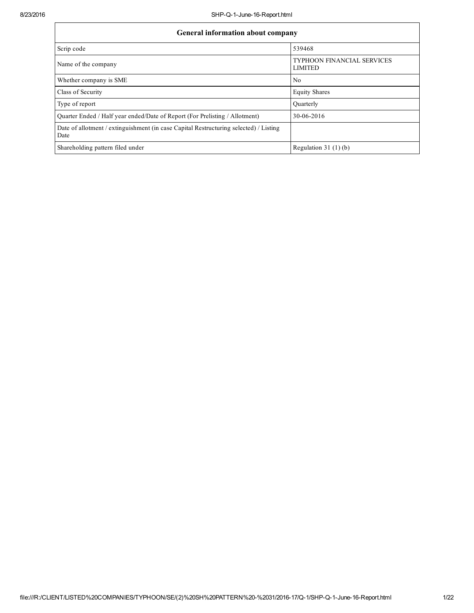| <b>General information about company</b>                                                      |                                                     |
|-----------------------------------------------------------------------------------------------|-----------------------------------------------------|
| Scrip code                                                                                    | 539468                                              |
| Name of the company                                                                           | <b>TYPHOON FINANCIAL SERVICES</b><br><b>LIMITED</b> |
| Whether company is SME                                                                        | No                                                  |
| Class of Security                                                                             | <b>Equity Shares</b>                                |
| Type of report                                                                                | Quarterly                                           |
| Quarter Ended / Half year ended/Date of Report (For Prelisting / Allotment)                   | 30-06-2016                                          |
| Date of allotment / extinguishment (in case Capital Restructuring selected) / Listing<br>Date |                                                     |
| Shareholding pattern filed under                                                              | Regulation $31(1)(b)$                               |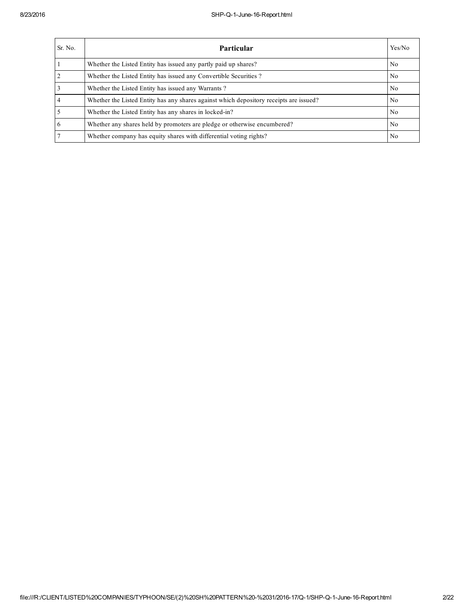| Sr. No.        | <b>Particular</b>                                                                      | Yes/No         |
|----------------|----------------------------------------------------------------------------------------|----------------|
|                | Whether the Listed Entity has issued any partly paid up shares?                        | No             |
| $\overline{2}$ | Whether the Listed Entity has issued any Convertible Securities?                       | N <sub>0</sub> |
| 3              | Whether the Listed Entity has issued any Warrants?                                     | N <sub>0</sub> |
|                | Whether the Listed Entity has any shares against which depository receipts are issued? | N <sub>0</sub> |
|                | Whether the Listed Entity has any shares in locked-in?                                 | No             |
| 6              | Whether any shares held by promoters are pledge or otherwise encumbered?               | No             |
|                | Whether company has equity shares with differential voting rights?                     | No             |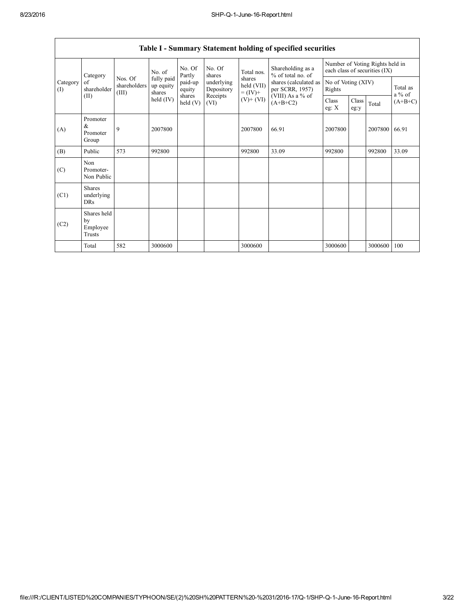|                 | No. Of<br>No. Of<br>Shareholding as a<br>Total nos.<br>No. of<br>% of total no. of<br>Partly<br>shares<br>Category                                                                                                                                                                                         |                                          |                      | Number of Voting Rights held in<br>each class of securities (IX)<br>No of Voting (XIV)<br>Rights |         |           |         |  |         |       |
|-----------------|------------------------------------------------------------------------------------------------------------------------------------------------------------------------------------------------------------------------------------------------------------------------------------------------------------|------------------------------------------|----------------------|--------------------------------------------------------------------------------------------------|---------|-----------|---------|--|---------|-------|
| Category<br>(I) | fully paid<br>Nos. Of<br>shares<br>paid-up<br>underlying<br>of<br>held (VII)<br>shareholders<br>up equity<br>shareholder<br>equity<br>Depository<br>(III)<br>$= (IV) +$<br>shares<br>(VIII) As a % of<br>shares<br>(II)<br>Receipts<br>held $(IV)$<br>$(V)+(VI)$<br>$\text{held}(V)$<br>$(A+B+C2)$<br>(VI) | shares (calculated as<br>per SCRR, 1957) | Total as<br>$a\%$ of |                                                                                                  |         |           |         |  |         |       |
|                 |                                                                                                                                                                                                                                                                                                            |                                          | Class<br>eg: $X$     | Class<br>eg:y                                                                                    | Total   | $(A+B+C)$ |         |  |         |       |
| (A)             | Promoter<br>$\&$<br>Promoter<br>Group                                                                                                                                                                                                                                                                      | 9                                        | 2007800              |                                                                                                  | 2007800 | 66.91     | 2007800 |  | 2007800 | 66.91 |
| (B)             | Public                                                                                                                                                                                                                                                                                                     | 573                                      | 992800               |                                                                                                  | 992800  | 33.09     | 992800  |  | 992800  | 33.09 |
| (C)             | Non<br>Promoter-<br>Non Public                                                                                                                                                                                                                                                                             |                                          |                      |                                                                                                  |         |           |         |  |         |       |
| (C1)            | <b>Shares</b><br>underlying<br><b>DRs</b>                                                                                                                                                                                                                                                                  |                                          |                      |                                                                                                  |         |           |         |  |         |       |
| (C2)            | Shares held<br>by<br>Employee<br>Trusts                                                                                                                                                                                                                                                                    |                                          |                      |                                                                                                  |         |           |         |  |         |       |
|                 | Total                                                                                                                                                                                                                                                                                                      | 582                                      | 3000600              |                                                                                                  | 3000600 |           | 3000600 |  | 3000600 | 100   |

## Table I - Summary Statement holding of specified securities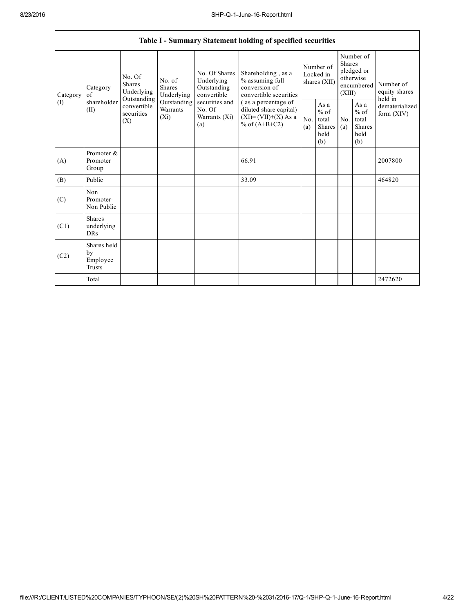|                                                                                                                                                                                                                                                                     |                                           |                                                                                           |            |                                                           | Table I - Summary Statement holding of specified securities                      |                                                  |  |                                                                               |  |                                                                         |
|---------------------------------------------------------------------------------------------------------------------------------------------------------------------------------------------------------------------------------------------------------------------|-------------------------------------------|-------------------------------------------------------------------------------------------|------------|-----------------------------------------------------------|----------------------------------------------------------------------------------|--------------------------------------------------|--|-------------------------------------------------------------------------------|--|-------------------------------------------------------------------------|
| No. Of<br>No. of<br><b>Shares</b><br><b>Shares</b><br>Category<br>Underlying<br>Underlying<br>Category<br>of<br>Outstanding<br>shareholder<br>Outstanding securities and<br>(1)<br>convertible<br>Warrants<br>No. Of<br>(II)<br>securities<br>$(X_i)$<br>(X)<br>(a) |                                           |                                                                                           |            | No. Of Shares<br>Underlying<br>Outstanding<br>convertible | Shareholding, as a<br>% assuming full<br>conversion of<br>convertible securities | Number of<br>Locked in<br>shares (XII)           |  | Number of<br><b>Shares</b><br>pledged or<br>otherwise<br>encumbered<br>(XIII) |  | Number of<br>equity shares<br>held in<br>dematerialized<br>form $(XIV)$ |
|                                                                                                                                                                                                                                                                     | Warrants (Xi)                             | (as a percentage of<br>diluted share capital)<br>$(XI)=(VII)+(X) As a$<br>% of $(A+B+C2)$ | No.<br>(a) | As a<br>$%$ of<br>total<br>Shares<br>held<br>(b)          | No.<br>(a)                                                                       | As a<br>$%$ of<br>total<br>Shares<br>held<br>(b) |  |                                                                               |  |                                                                         |
| (A)                                                                                                                                                                                                                                                                 | Promoter &<br>Promoter<br>Group           |                                                                                           |            |                                                           | 66.91                                                                            |                                                  |  |                                                                               |  | 2007800                                                                 |
| (B)                                                                                                                                                                                                                                                                 | Public                                    |                                                                                           |            |                                                           | 33.09                                                                            |                                                  |  |                                                                               |  | 464820                                                                  |
| (C)                                                                                                                                                                                                                                                                 | Non<br>Promoter-<br>Non Public            |                                                                                           |            |                                                           |                                                                                  |                                                  |  |                                                                               |  |                                                                         |
| (C1)                                                                                                                                                                                                                                                                | <b>Shares</b><br>underlying<br><b>DRs</b> |                                                                                           |            |                                                           |                                                                                  |                                                  |  |                                                                               |  |                                                                         |
| (C2)                                                                                                                                                                                                                                                                | Shares held<br>by<br>Employee<br>Trusts   |                                                                                           |            |                                                           |                                                                                  |                                                  |  |                                                                               |  |                                                                         |
|                                                                                                                                                                                                                                                                     | Total                                     |                                                                                           |            |                                                           |                                                                                  |                                                  |  |                                                                               |  | 2472620                                                                 |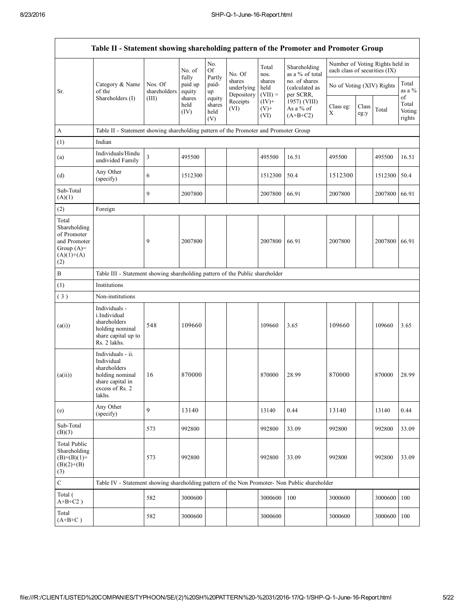|                                                                                             | Table II - Statement showing shareholding pattern of the Promoter and Promoter Group                                |                         |                            |                                 |                                    |                             |                                              |                                                                  |               |         |                                 |
|---------------------------------------------------------------------------------------------|---------------------------------------------------------------------------------------------------------------------|-------------------------|----------------------------|---------------------------------|------------------------------------|-----------------------------|----------------------------------------------|------------------------------------------------------------------|---------------|---------|---------------------------------|
|                                                                                             |                                                                                                                     |                         | No. of                     | No.<br><b>Of</b>                | No. Of                             | Total<br>nos.               | Shareholding<br>as a % of total              | Number of Voting Rights held in<br>each class of securities (IX) |               |         |                                 |
| Sr.                                                                                         | Category & Name<br>of the                                                                                           | Nos. Of<br>shareholders | fully<br>paid up<br>equity | Partly<br>paid-<br>up           | shares<br>underlying<br>Depository | shares<br>held<br>$(VII) =$ | no. of shares<br>(calculated as<br>per SCRR, | No of Voting (XIV) Rights                                        |               |         | Total<br>as a $%$               |
|                                                                                             | Shareholders (I)                                                                                                    | (III)                   | shares<br>held<br>(IV)     | equity<br>shares<br>held<br>(V) | Receipts<br>(VI)                   | $(IV)$ +<br>$(V)$ +<br>(VI) | 1957) (VIII)<br>As a % of<br>$(A+B+C2)$      | Class eg:<br>X                                                   | Class<br>eg:y | Total   | of<br>Total<br>Voting<br>rights |
| A                                                                                           | Table II - Statement showing shareholding pattern of the Promoter and Promoter Group                                |                         |                            |                                 |                                    |                             |                                              |                                                                  |               |         |                                 |
| (1)                                                                                         | Indian                                                                                                              |                         |                            |                                 |                                    |                             |                                              |                                                                  |               |         |                                 |
| (a)                                                                                         | Individuals/Hindu<br>undivided Family                                                                               | $\mathfrak{Z}$          | 495500                     |                                 |                                    | 495500                      | 16.51                                        | 495500                                                           |               | 495500  | 16.51                           |
| (d)                                                                                         | Any Other<br>(specify)                                                                                              | 6                       | 1512300                    |                                 |                                    | 1512300                     | 50.4                                         | 1512300                                                          |               | 1512300 | 50.4                            |
| Sub-Total<br>(A)(1)                                                                         |                                                                                                                     | 9                       | 2007800                    |                                 |                                    | 2007800                     | 66.91                                        | 2007800                                                          |               | 2007800 | 66.91                           |
| (2)                                                                                         | Foreign                                                                                                             |                         |                            |                                 |                                    |                             |                                              |                                                                  |               |         |                                 |
| Total<br>Shareholding<br>of Promoter<br>and Promoter<br>Group $(A)=$<br>$(A)(1)+(A)$<br>(2) |                                                                                                                     | 9                       | 2007800                    |                                 |                                    | 2007800                     | 66.91                                        | 2007800                                                          |               | 2007800 | 66.91                           |
| $\, {\bf B}$                                                                                | Table III - Statement showing shareholding pattern of the Public shareholder                                        |                         |                            |                                 |                                    |                             |                                              |                                                                  |               |         |                                 |
| (1)                                                                                         | Institutions                                                                                                        |                         |                            |                                 |                                    |                             |                                              |                                                                  |               |         |                                 |
| (3)                                                                                         | Non-institutions                                                                                                    |                         |                            |                                 |                                    |                             |                                              |                                                                  |               |         |                                 |
| (a(i))                                                                                      | Individuals -<br>i.Individual<br>shareholders<br>holding nominal<br>share capital up to<br>Rs. 2 lakhs.             | 548                     | 109660                     |                                 |                                    | 109660                      | 3.65                                         | 109660                                                           |               | 109660  | 3.65                            |
| (a(ii))                                                                                     | Individuals - ii.<br>Individual<br>shareholders<br>holding nominal<br>share capital in<br>excess of Rs. 2<br>lakhs. | 16                      | 870000                     |                                 |                                    | 870000                      | 28.99                                        | 870000                                                           |               | 870000  | 28.99                           |
| (e)                                                                                         | Any Other<br>(specify)                                                                                              | 9                       | 13140                      |                                 |                                    | 13140                       | 0.44                                         | 13140                                                            |               | 13140   | 0.44                            |
| Sub-Total<br>(B)(3)                                                                         |                                                                                                                     | 573                     | 992800                     |                                 |                                    | 992800                      | 33.09                                        | 992800                                                           |               | 992800  | 33.09                           |
| <b>Total Public</b><br>Shareholding<br>$(B)=(B)(1)+$<br>$(B)(2)+(B)$<br>(3)                 |                                                                                                                     | 573                     | 992800                     |                                 |                                    | 992800                      | 33.09                                        | 992800                                                           |               | 992800  | 33.09                           |
| $\mathbf C$                                                                                 | Table IV - Statement showing shareholding pattern of the Non Promoter- Non Public shareholder                       |                         |                            |                                 |                                    |                             |                                              |                                                                  |               |         |                                 |
| Total (<br>$A+B+C2$ )                                                                       |                                                                                                                     | 582                     | 3000600                    |                                 |                                    | 3000600                     | 100                                          | 3000600                                                          |               | 3000600 | 100                             |
| Total<br>$(A+B+C)$                                                                          |                                                                                                                     | 582                     | 3000600                    |                                 |                                    | 3000600                     |                                              | 3000600                                                          |               | 3000600 | 100                             |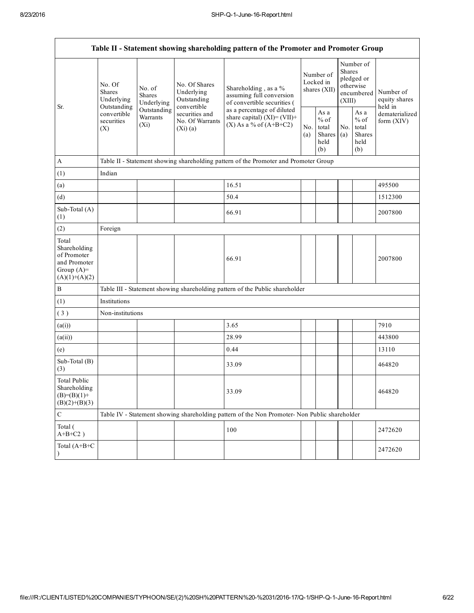|                                                                                         |                                       |                                       |                                                           | Table II - Statement showing shareholding pattern of the Promoter and Promoter Group          |                                        |                                                  |                                                                        |                                                  |                                       |
|-----------------------------------------------------------------------------------------|---------------------------------------|---------------------------------------|-----------------------------------------------------------|-----------------------------------------------------------------------------------------------|----------------------------------------|--------------------------------------------------|------------------------------------------------------------------------|--------------------------------------------------|---------------------------------------|
| Outstanding<br>Sr.<br>(X)                                                               | No. Of<br><b>Shares</b><br>Underlying | No. of<br><b>Shares</b><br>Underlying | No. Of Shares<br>Underlying<br>Outstanding<br>convertible | Shareholding, as a %<br>assuming full conversion<br>of convertible securities (               | Number of<br>Locked in<br>shares (XII) |                                                  | Number of<br>Shares<br>pledged or<br>otherwise<br>encumbered<br>(XIII) |                                                  | Number of<br>equity shares<br>held in |
|                                                                                         | convertible<br>securities             | Outstanding<br>Warrants<br>$(X_i)$    | securities and<br>No. Of Warrants<br>(Xi)(a)              | as a percentage of diluted<br>share capital) $(XI)=(VII)+$<br>$(X)$ As a % of $(A+B+C2)$      |                                        | As a<br>$%$ of<br>total<br>Shares<br>held<br>(b) | No.<br>(a)                                                             | As a<br>$%$ of<br>total<br>Shares<br>held<br>(b) | dematerialized<br>form $(XIV)$        |
| $\mathbf{A}$                                                                            |                                       |                                       |                                                           | Table II - Statement showing shareholding pattern of the Promoter and Promoter Group          |                                        |                                                  |                                                                        |                                                  |                                       |
| (1)                                                                                     | Indian                                |                                       |                                                           |                                                                                               |                                        |                                                  |                                                                        |                                                  |                                       |
| (a)                                                                                     |                                       |                                       |                                                           | 16.51                                                                                         |                                        |                                                  |                                                                        |                                                  | 495500                                |
| (d)                                                                                     |                                       |                                       |                                                           | 50.4                                                                                          |                                        |                                                  |                                                                        |                                                  | 1512300                               |
| Sub-Total (A)<br>(1)                                                                    |                                       |                                       |                                                           | 66.91                                                                                         |                                        |                                                  |                                                                        |                                                  | 2007800                               |
| (2)                                                                                     | Foreign                               |                                       |                                                           |                                                                                               |                                        |                                                  |                                                                        |                                                  |                                       |
| Total<br>Shareholding<br>of Promoter<br>and Promoter<br>Group $(A)=$<br>$(A)(1)+(A)(2)$ |                                       |                                       |                                                           | 66.91                                                                                         |                                        |                                                  |                                                                        |                                                  | 2007800                               |
| $\boldsymbol{B}$                                                                        |                                       |                                       |                                                           | Table III - Statement showing shareholding pattern of the Public shareholder                  |                                        |                                                  |                                                                        |                                                  |                                       |
| (1)                                                                                     | Institutions                          |                                       |                                                           |                                                                                               |                                        |                                                  |                                                                        |                                                  |                                       |
| (3)                                                                                     | Non-institutions                      |                                       |                                                           |                                                                                               |                                        |                                                  |                                                                        |                                                  |                                       |
| (a(i))                                                                                  |                                       |                                       |                                                           | 3.65                                                                                          |                                        |                                                  |                                                                        |                                                  | 7910                                  |
| (a(ii))                                                                                 |                                       |                                       |                                                           | 28.99                                                                                         |                                        |                                                  |                                                                        |                                                  | 443800                                |
| (e)                                                                                     |                                       |                                       |                                                           | 0.44                                                                                          |                                        |                                                  |                                                                        |                                                  | 13110                                 |
| Sub-Total (B)<br>(3)                                                                    |                                       |                                       |                                                           | 33.09                                                                                         |                                        |                                                  |                                                                        |                                                  | 464820                                |
| <b>Total Public</b><br>Shareholding<br>$(B)= (B)(1) +$<br>$(B)(2)+(B)(3)$               |                                       |                                       |                                                           | 33.09                                                                                         |                                        |                                                  |                                                                        |                                                  | 464820                                |
| $\mathbf C$                                                                             |                                       |                                       |                                                           | Table IV - Statement showing shareholding pattern of the Non Promoter- Non Public shareholder |                                        |                                                  |                                                                        |                                                  |                                       |
| Total (<br>$A+B+C2$ )                                                                   |                                       |                                       |                                                           | 100                                                                                           |                                        |                                                  |                                                                        |                                                  | 2472620                               |
| Total (A+B+C<br>$\mathcal{E}$                                                           |                                       |                                       |                                                           |                                                                                               |                                        |                                                  |                                                                        |                                                  | 2472620                               |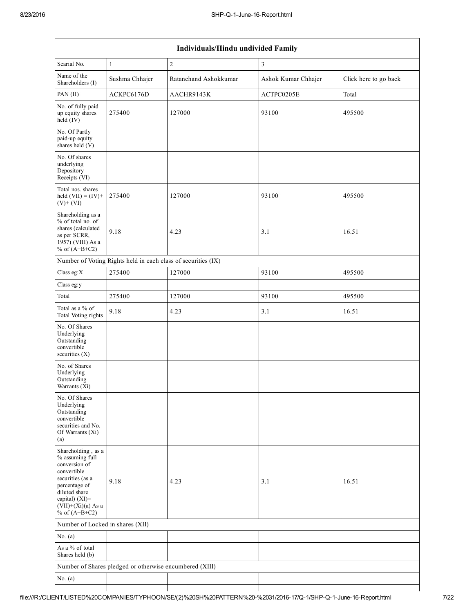| Individuals/Hindu undivided Family                                                                                                                                                       |                                                               |                       |                         |                       |  |  |
|------------------------------------------------------------------------------------------------------------------------------------------------------------------------------------------|---------------------------------------------------------------|-----------------------|-------------------------|-----------------------|--|--|
| Searial No.                                                                                                                                                                              | $\mathbf{1}$                                                  | $\boldsymbol{2}$      | $\overline{\mathbf{3}}$ |                       |  |  |
| Name of the<br>Shareholders (I)                                                                                                                                                          | Sushma Chhajer                                                | Ratanchand Ashokkumar | Ashok Kumar Chhajer     | Click here to go back |  |  |
| PAN (II)                                                                                                                                                                                 | ACKPC6176D                                                    | AACHR9143K            | ACTPC0205E              | Total                 |  |  |
| No. of fully paid<br>up equity shares<br>$held$ (IV)                                                                                                                                     | 275400                                                        | 127000                | 93100                   | 495500                |  |  |
| No. Of Partly<br>paid-up equity<br>shares held (V)                                                                                                                                       |                                                               |                       |                         |                       |  |  |
| No. Of shares<br>underlying<br>Depository<br>Receipts (VI)                                                                                                                               |                                                               |                       |                         |                       |  |  |
| Total nos. shares<br>held $(VII) = (IV) +$<br>$(V)$ + $(VI)$                                                                                                                             | 275400                                                        | 127000                | 93100                   | 495500                |  |  |
| Shareholding as a<br>% of total no. of<br>shares (calculated<br>as per SCRR,<br>1957) (VIII) As a<br>% of $(A+B+C2)$                                                                     | 9.18                                                          | 4.23                  | 3.1                     | 16.51                 |  |  |
|                                                                                                                                                                                          | Number of Voting Rights held in each class of securities (IX) |                       |                         |                       |  |  |
| Class eg: $X$                                                                                                                                                                            | 275400                                                        | 127000                | 93100                   | 495500                |  |  |
| Class eg:y                                                                                                                                                                               |                                                               |                       |                         |                       |  |  |
| Total                                                                                                                                                                                    | 275400                                                        | 127000                | 93100                   | 495500                |  |  |
| Total as a % of<br>Total Voting rights                                                                                                                                                   | 9.18                                                          | 4.23                  | 3.1                     | 16.51                 |  |  |
| No. Of Shares<br>Underlying<br>Outstanding<br>convertible<br>securities (X)                                                                                                              |                                                               |                       |                         |                       |  |  |
| No. of Shares<br>Underlying<br>Outstanding<br>Warrants (Xi)                                                                                                                              |                                                               |                       |                         |                       |  |  |
| No. Of Shares<br>Underlying<br>Outstanding<br>convertible<br>securities and No.<br>Of Warrants (Xi)<br>(a)                                                                               |                                                               |                       |                         |                       |  |  |
| Shareholding, as a<br>% assuming full<br>conversion of<br>convertible<br>securities (as a<br>percentage of<br>diluted share<br>capital) (XI)=<br>$(VII)+(Xi)(a)$ As a<br>% of $(A+B+C2)$ | 9.18                                                          | 4.23                  | 3.1                     | 16.51                 |  |  |
| Number of Locked in shares (XII)                                                                                                                                                         |                                                               |                       |                         |                       |  |  |
| No. $(a)$                                                                                                                                                                                |                                                               |                       |                         |                       |  |  |
| As a % of total<br>Shares held (b)                                                                                                                                                       |                                                               |                       |                         |                       |  |  |
|                                                                                                                                                                                          | Number of Shares pledged or otherwise encumbered (XIII)       |                       |                         |                       |  |  |
| No. $(a)$                                                                                                                                                                                |                                                               |                       |                         |                       |  |  |
|                                                                                                                                                                                          |                                                               |                       |                         |                       |  |  |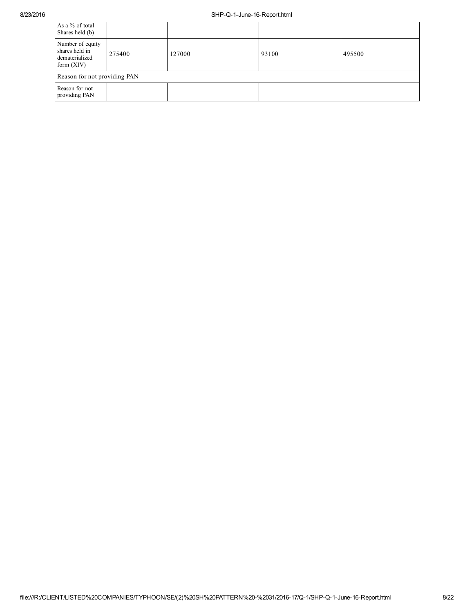| As a % of total<br>Shares held (b)                                   |        |        |       |        |
|----------------------------------------------------------------------|--------|--------|-------|--------|
| Number of equity<br>shares held in<br>dematerialized<br>form $(XIV)$ | 275400 | 127000 | 93100 | 495500 |
| Reason for not providing PAN                                         |        |        |       |        |
| Reason for not<br>providing PAN                                      |        |        |       |        |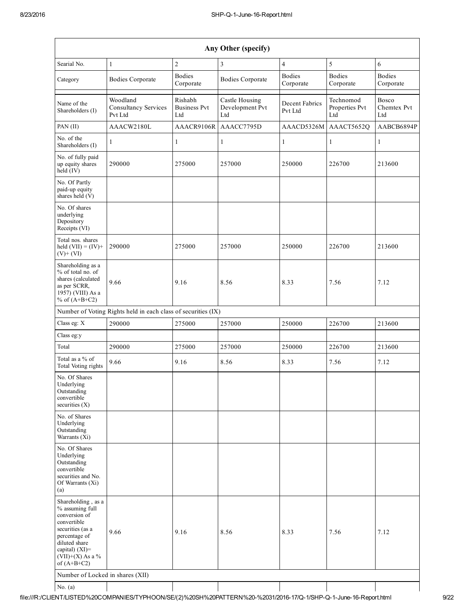|                                                                                                                                                                                      |                                                               |                                       | Any Other (specify)                      |                            |                                    |                                    |
|--------------------------------------------------------------------------------------------------------------------------------------------------------------------------------------|---------------------------------------------------------------|---------------------------------------|------------------------------------------|----------------------------|------------------------------------|------------------------------------|
| Searial No.                                                                                                                                                                          | 1                                                             | $\overline{c}$                        | $\mathfrak{Z}$                           | $\overline{4}$             | 5                                  | 6                                  |
| Category                                                                                                                                                                             | <b>Bodies Corporate</b>                                       | <b>Bodies</b><br>Corporate            | <b>Bodies Corporate</b>                  | <b>Bodies</b><br>Corporate | <b>Bodies</b><br>Corporate         | <b>Bodies</b><br>Corporate         |
| Name of the<br>Shareholders (I)                                                                                                                                                      | Woodland<br><b>Consultancy Services</b><br>Pvt Ltd            | Rishabh<br><b>Business Pvt</b><br>Ltd | Castle Housing<br>Development Pvt<br>Ltd | Decent Fabrics<br>Pvt Ltd  | Technomod<br>Properties Pvt<br>Ltd | <b>Bosco</b><br>Chemtex Pvt<br>Ltd |
| PAN (II)                                                                                                                                                                             | AAACW2180L                                                    | AAACR9106R                            | AAACC7795D                               | AAACD5326M                 | AAACT5652Q                         | AABCB6894P                         |
| No. of the<br>Shareholders (I)                                                                                                                                                       | 1                                                             | $\mathbf{1}$                          | 1                                        | 1                          | $\mathbf{1}$                       | $\mathbf{1}$                       |
| No. of fully paid<br>up equity shares<br>held (IV)                                                                                                                                   | 290000                                                        | 275000                                | 257000                                   | 250000                     | 226700                             | 213600                             |
| No. Of Partly<br>paid-up equity<br>shares held (V)                                                                                                                                   |                                                               |                                       |                                          |                            |                                    |                                    |
| No. Of shares<br>underlying<br>Depository<br>Receipts (VI)                                                                                                                           |                                                               |                                       |                                          |                            |                                    |                                    |
| Total nos. shares<br>held $(VII) = (IV) +$<br>$(V)+(VI)$                                                                                                                             | 290000                                                        | 275000                                | 257000                                   | 250000                     | 226700                             | 213600                             |
| Shareholding as a<br>% of total no. of<br>shares (calculated<br>as per SCRR,<br>1957) (VIII) As a<br>% of $(A+B+C2)$                                                                 | 9.66                                                          | 9.16                                  | 8.56                                     | 8.33                       | 7.56                               | 7.12                               |
|                                                                                                                                                                                      | Number of Voting Rights held in each class of securities (IX) |                                       |                                          |                            |                                    |                                    |
| Class eg: X                                                                                                                                                                          | 290000                                                        | 275000                                | 257000                                   | 250000                     | 226700                             | 213600                             |
| Class eg:y                                                                                                                                                                           |                                                               |                                       |                                          |                            |                                    |                                    |
| Total                                                                                                                                                                                | 290000                                                        | 275000                                | 257000                                   | 250000                     | 226700                             | 213600                             |
| Total as a % of<br>Total Voting rights                                                                                                                                               | 9.66                                                          | 9.16                                  | 8.56                                     | 8.33                       | 7.56                               | 7.12                               |
| No. Of Shares<br>Underlying<br>Outstanding<br>convertible<br>securities $(X)$                                                                                                        |                                                               |                                       |                                          |                            |                                    |                                    |
| No. of Shares<br>Underlying<br>Outstanding<br>Warrants (Xi)                                                                                                                          |                                                               |                                       |                                          |                            |                                    |                                    |
| No. Of Shares<br>Underlying<br>Outstanding<br>convertible<br>securities and No.<br>Of Warrants (Xi)<br>(a)                                                                           |                                                               |                                       |                                          |                            |                                    |                                    |
| Shareholding, as a<br>% assuming full<br>conversion of<br>convertible<br>securities (as a<br>percentage of<br>diluted share<br>capital) (XI)=<br>$(VII)+(X)$ As a %<br>of $(A+B+C2)$ | 9.66                                                          | 9.16                                  | 8.56                                     | 8.33                       | 7.56                               | 7.12                               |
| Number of Locked in shares (XII)                                                                                                                                                     |                                                               |                                       |                                          |                            |                                    |                                    |
| No. $(a)$                                                                                                                                                                            |                                                               |                                       |                                          |                            |                                    |                                    |

file:///R:/CLIENT/LISTED%20COMPANIES/TYPHOON/SE/(2)%20SH%20PATTERN%20-%2031/2016-17/Q-1/SHP-Q-1-June-16-Report.html 9/22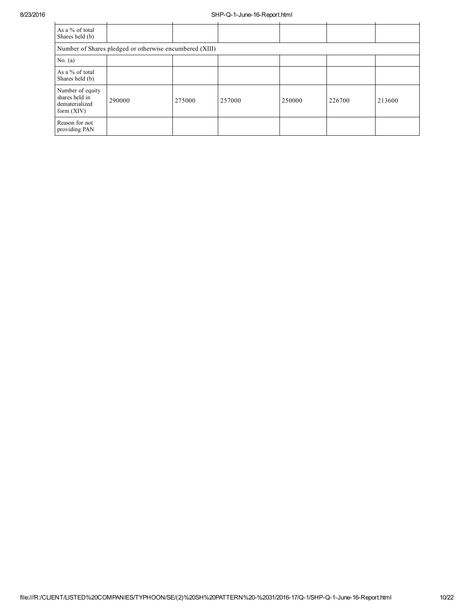| As a % of total<br>Shares held (b)                                   |                                                         |        |        |        |        |        |
|----------------------------------------------------------------------|---------------------------------------------------------|--------|--------|--------|--------|--------|
|                                                                      | Number of Shares pledged or otherwise encumbered (XIII) |        |        |        |        |        |
| No. $(a)$                                                            |                                                         |        |        |        |        |        |
| As a % of total<br>Shares held (b)                                   |                                                         |        |        |        |        |        |
| Number of equity<br>shares held in<br>dematerialized<br>form $(XIV)$ | 290000                                                  | 275000 | 257000 | 250000 | 226700 | 213600 |
| Reason for not<br>providing PAN                                      |                                                         |        |        |        |        |        |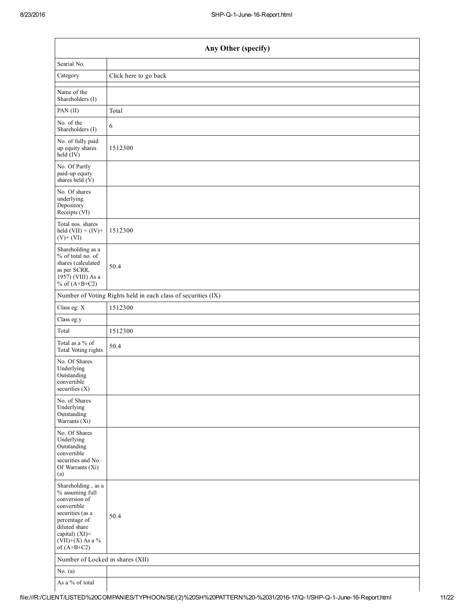| Any Other (specify)                                                                                                                                                                  |                                                               |  |  |  |  |
|--------------------------------------------------------------------------------------------------------------------------------------------------------------------------------------|---------------------------------------------------------------|--|--|--|--|
| Searial No.                                                                                                                                                                          |                                                               |  |  |  |  |
| Category                                                                                                                                                                             | Click here to go back                                         |  |  |  |  |
| Name of the<br>Shareholders (I)                                                                                                                                                      |                                                               |  |  |  |  |
| PAN (II)                                                                                                                                                                             | Total                                                         |  |  |  |  |
| No. of the<br>Shareholders (I)                                                                                                                                                       | 6                                                             |  |  |  |  |
| No. of fully paid<br>up equity shares<br>$held$ (IV)                                                                                                                                 | 1512300                                                       |  |  |  |  |
| No. Of Partly<br>paid-up equity<br>shares held $(V)$                                                                                                                                 |                                                               |  |  |  |  |
| No. Of shares<br>underlying<br>Depository<br>Receipts (VI)                                                                                                                           |                                                               |  |  |  |  |
| Total nos. shares<br>held $(VII) = (IV) +$<br>$(V)$ + $(VI)$                                                                                                                         | 1512300                                                       |  |  |  |  |
| Shareholding as a<br>% of total no. of<br>shares (calculated<br>as per SCRR,<br>1957) (VIII) As a<br>% of $(A+B+C2)$                                                                 | 50.4                                                          |  |  |  |  |
|                                                                                                                                                                                      | Number of Voting Rights held in each class of securities (IX) |  |  |  |  |
| Class eg: X                                                                                                                                                                          | 1512300                                                       |  |  |  |  |
| Class eg:y                                                                                                                                                                           |                                                               |  |  |  |  |
| Total                                                                                                                                                                                | 1512300                                                       |  |  |  |  |
| Total as a % of<br>Total Voting rights                                                                                                                                               | 50.4                                                          |  |  |  |  |
| No. Of Shares<br>Underlying<br>Outstanding<br>convertible<br>securities $(X)$                                                                                                        |                                                               |  |  |  |  |
| No. of Shares<br>Underlying<br>Outstanding<br>Warrants (Xi)                                                                                                                          |                                                               |  |  |  |  |
| No. Of Shares<br>Underlying<br>Outstanding<br>convertible<br>securities and No.<br>Of Warrants (Xi)<br>(a)                                                                           |                                                               |  |  |  |  |
| Shareholding, as a<br>% assuming full<br>conversion of<br>convertible<br>securities (as a<br>percentage of<br>diluted share<br>capital) (XI)=<br>$(VII)+(X)$ As a %<br>of $(A+B+C2)$ | 50.4                                                          |  |  |  |  |
| Number of Locked in shares (XII)                                                                                                                                                     |                                                               |  |  |  |  |
| No. $(a)$                                                                                                                                                                            |                                                               |  |  |  |  |
| As a % of total                                                                                                                                                                      |                                                               |  |  |  |  |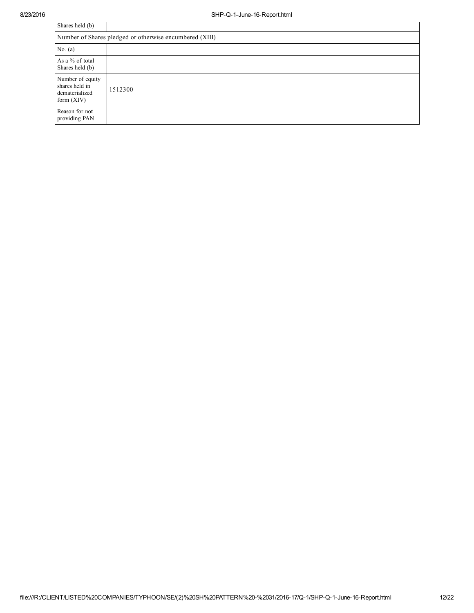| Shares held (b)                                                      |                                                         |  |  |  |  |  |
|----------------------------------------------------------------------|---------------------------------------------------------|--|--|--|--|--|
|                                                                      | Number of Shares pledged or otherwise encumbered (XIII) |  |  |  |  |  |
| No. $(a)$                                                            |                                                         |  |  |  |  |  |
| As a % of total<br>Shares held (b)                                   |                                                         |  |  |  |  |  |
| Number of equity<br>shares held in<br>dematerialized<br>form $(XIV)$ | 1512300                                                 |  |  |  |  |  |
| Reason for not<br>providing PAN                                      |                                                         |  |  |  |  |  |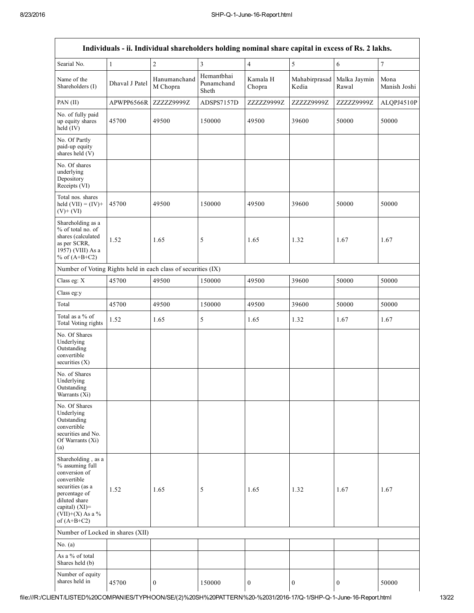|                                                                                                                                                                                      |                | Individuals - ii. Individual shareholders holding nominal share capital in excess of Rs. 2 lakhs. |                                   |                    |                        |                       |                      |
|--------------------------------------------------------------------------------------------------------------------------------------------------------------------------------------|----------------|---------------------------------------------------------------------------------------------------|-----------------------------------|--------------------|------------------------|-----------------------|----------------------|
| Searial No.                                                                                                                                                                          | 1              | $\overline{c}$                                                                                    | $\overline{3}$                    | $\overline{4}$     | 5                      | 6                     | $\overline{7}$       |
| Name of the<br>Shareholders (I)                                                                                                                                                      | Dhaval J Patel | Hanumanchand<br>M Chopra                                                                          | Hemantbhai<br>Punamchand<br>Sheth | Kamala H<br>Chopra | Mahabirprasad<br>Kedia | Malka Jaymin<br>Rawal | Mona<br>Manish Joshi |
| PAN (II)                                                                                                                                                                             | APWPP6566R     | ZZZZZ9999Z                                                                                        | ADSPS7157D                        | ZZZZZ9999Z         | ZZZZZ9999Z             | ZZZZZ9999Z            | ALQPJ4510P           |
| No. of fully paid<br>up equity shares<br>held (IV)                                                                                                                                   | 45700          | 49500                                                                                             | 150000                            | 49500              | 39600                  | 50000                 | 50000                |
| No. Of Partly<br>paid-up equity<br>shares held (V)                                                                                                                                   |                |                                                                                                   |                                   |                    |                        |                       |                      |
| No. Of shares<br>underlying<br>Depository<br>Receipts (VI)                                                                                                                           |                |                                                                                                   |                                   |                    |                        |                       |                      |
| Total nos. shares<br>held $(VII) = (IV) +$<br>$(V)+(VI)$                                                                                                                             | 45700          | 49500                                                                                             | 150000                            | 49500              | 39600                  | 50000                 | 50000                |
| Shareholding as a<br>% of total no. of<br>shares (calculated<br>as per SCRR,<br>1957) (VIII) As a<br>% of $(A+B+C2)$                                                                 | 1.52           | 1.65                                                                                              | 5                                 | 1.65               | 1.32                   | 1.67                  | 1.67                 |
| Number of Voting Rights held in each class of securities (IX)                                                                                                                        |                |                                                                                                   |                                   |                    |                        |                       |                      |
| Class eg: X                                                                                                                                                                          | 45700          | 49500                                                                                             | 150000                            | 49500              | 39600                  | 50000                 | 50000                |
| Class eg:y                                                                                                                                                                           |                |                                                                                                   |                                   |                    |                        |                       |                      |
| Total                                                                                                                                                                                | 45700          | 49500                                                                                             | 150000                            | 49500              | 39600                  | 50000                 | 50000                |
| Total as a % of<br>Total Voting rights                                                                                                                                               | 1.52           | 1.65                                                                                              | 5                                 | 1.65               | 1.32                   | 1.67                  | 1.67                 |
| No. Of Shares<br>Underlying<br>Outstanding<br>convertible<br>securities $(X)$                                                                                                        |                |                                                                                                   |                                   |                    |                        |                       |                      |
| No. of Shares<br>Underlying<br>Outstanding<br>Warrants (Xi)                                                                                                                          |                |                                                                                                   |                                   |                    |                        |                       |                      |
| No. Of Shares<br>Underlying<br>Outstanding<br>convertible<br>securities and No.<br>Of Warrants (Xi)<br>(a)                                                                           |                |                                                                                                   |                                   |                    |                        |                       |                      |
| Shareholding, as a<br>% assuming full<br>conversion of<br>convertible<br>securities (as a<br>percentage of<br>diluted share<br>capital) (XI)=<br>$(VII)+(X)$ As a %<br>of $(A+B+C2)$ | 1.52           | 1.65                                                                                              | 5                                 | 1.65               | 1.32                   | 1.67                  | 1.67                 |
| Number of Locked in shares (XII)                                                                                                                                                     |                |                                                                                                   |                                   |                    |                        |                       |                      |
| No. $(a)$                                                                                                                                                                            |                |                                                                                                   |                                   |                    |                        |                       |                      |
| As a % of total<br>Shares held (b)                                                                                                                                                   |                |                                                                                                   |                                   |                    |                        |                       |                      |
| Number of equity<br>shares held in                                                                                                                                                   | 45700          | $\boldsymbol{0}$                                                                                  | 150000                            | $\boldsymbol{0}$   | 0                      | $\boldsymbol{0}$      | 50000                |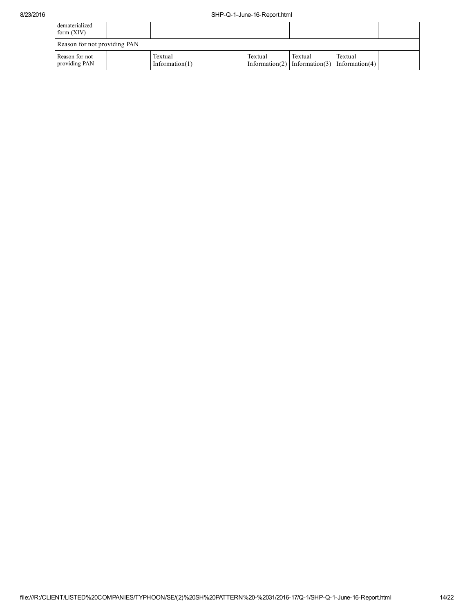| dematerialized<br>form $(XIV)$  |  |                              |  |         |                                                         |         |  |
|---------------------------------|--|------------------------------|--|---------|---------------------------------------------------------|---------|--|
| Reason for not providing PAN    |  |                              |  |         |                                                         |         |  |
| Reason for not<br>providing PAN |  | Textual<br>Information $(1)$ |  | Textual | Textual<br>Information(2) Information(3) Information(4) | Textual |  |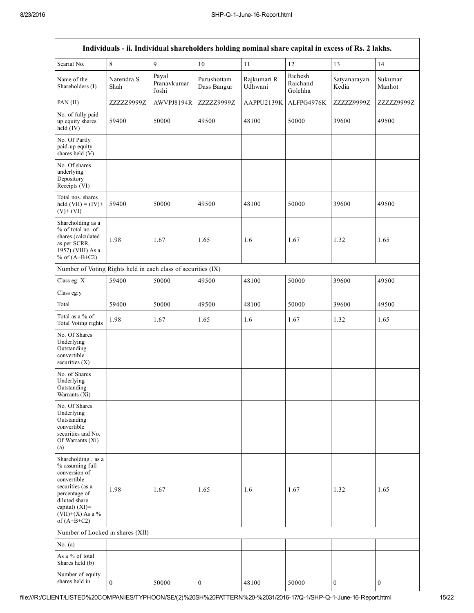|                                                                                                                                                                                      |                    |                               |                            | Individuals - ii. Individual shareholders holding nominal share capital in excess of Rs. 2 lakhs. |                                |                       |                   |
|--------------------------------------------------------------------------------------------------------------------------------------------------------------------------------------|--------------------|-------------------------------|----------------------------|---------------------------------------------------------------------------------------------------|--------------------------------|-----------------------|-------------------|
| Searial No.                                                                                                                                                                          | 8                  | 9                             | 10                         | 11                                                                                                | 12                             | 13                    | 14                |
| Name of the<br>Shareholders (I)                                                                                                                                                      | Narendra S<br>Shah | Payal<br>Pranavkumar<br>Joshi | Purushottam<br>Dass Bangur | Rajkumari R<br>Udhwani                                                                            | Richesh<br>Raichand<br>Golchha | Satyanarayan<br>Kedia | Sukumar<br>Manhot |
| PAN (II)                                                                                                                                                                             | ZZZZZ9999Z         | AWVPJ8194R                    | ZZZZZ9999Z                 | AAPPU2139K                                                                                        | ALFPG4976K                     | ZZZZZ9999Z            | ZZZZZ9999Z        |
| No. of fully paid<br>up equity shares<br>held (IV)                                                                                                                                   | 59400              | 50000                         | 49500                      | 48100                                                                                             | 50000                          | 39600                 | 49500             |
| No. Of Partly<br>paid-up equity<br>shares held (V)                                                                                                                                   |                    |                               |                            |                                                                                                   |                                |                       |                   |
| No. Of shares<br>underlying<br>Depository<br>Receipts (VI)                                                                                                                           |                    |                               |                            |                                                                                                   |                                |                       |                   |
| Total nos. shares<br>held $(VII) = (IV) +$<br>$(V)+(VI)$                                                                                                                             | 59400              | 50000                         | 49500                      | 48100                                                                                             | 50000                          | 39600                 | 49500             |
| Shareholding as a<br>% of total no. of<br>shares (calculated<br>as per SCRR,<br>1957) (VIII) As a<br>% of $(A+B+C2)$                                                                 | 1.98               | 1.67                          | 1.65                       | 1.6                                                                                               | 1.67                           | 1.32                  | 1.65              |
| Number of Voting Rights held in each class of securities (IX)                                                                                                                        |                    |                               |                            |                                                                                                   |                                |                       |                   |
| Class eg: X                                                                                                                                                                          | 59400              | 50000                         | 49500                      | 48100                                                                                             | 50000                          | 39600                 | 49500             |
| Class eg:y                                                                                                                                                                           |                    |                               |                            |                                                                                                   |                                |                       |                   |
| Total                                                                                                                                                                                | 59400              | 50000                         | 49500                      | 48100                                                                                             | 50000                          | 39600                 | 49500             |
| Total as a % of<br>Total Voting rights                                                                                                                                               | 1.98               | 1.67                          | 1.65                       | 1.6                                                                                               | 1.67                           | 1.32                  | 1.65              |
| No. Of Shares<br>Underlying<br>Outstanding<br>convertible<br>securities $(X)$                                                                                                        |                    |                               |                            |                                                                                                   |                                |                       |                   |
| No. of Shares<br>Underlying<br>Outstanding<br>Warrants (Xi)                                                                                                                          |                    |                               |                            |                                                                                                   |                                |                       |                   |
| No. Of Shares<br>Underlying<br>Outstanding<br>convertible<br>securities and No.<br>Of Warrants (Xi)<br>(a)                                                                           |                    |                               |                            |                                                                                                   |                                |                       |                   |
| Shareholding, as a<br>% assuming full<br>conversion of<br>convertible<br>securities (as a<br>percentage of<br>diluted share<br>capital) (XI)=<br>$(VII)+(X)$ As a %<br>of $(A+B+C2)$ | 1.98               | 1.67                          | 1.65                       | 1.6                                                                                               | 1.67                           | 1.32                  | 1.65              |
| Number of Locked in shares (XII)                                                                                                                                                     |                    |                               |                            |                                                                                                   |                                |                       |                   |
| No. $(a)$                                                                                                                                                                            |                    |                               |                            |                                                                                                   |                                |                       |                   |
| As a % of total<br>Shares held (b)                                                                                                                                                   |                    |                               |                            |                                                                                                   |                                |                       |                   |
| Number of equity<br>shares held in                                                                                                                                                   | $\mathbf{0}$       | 50000                         | $\boldsymbol{0}$           | 48100                                                                                             | 50000                          | $\boldsymbol{0}$      | $\overline{0}$    |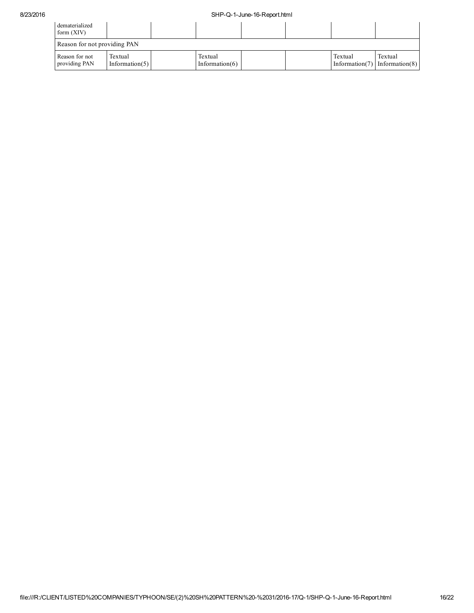| dematerialized<br>form $(XIV)$  |                              |  |                               |  |  |         |                                                  |
|---------------------------------|------------------------------|--|-------------------------------|--|--|---------|--------------------------------------------------|
| Reason for not providing PAN    |                              |  |                               |  |  |         |                                                  |
| Reason for not<br>providing PAN | Textual<br>Information $(5)$ |  | Textual<br>Information( $6$ ) |  |  | Textual | Textual<br>Information(7) Information(8) $\vert$ |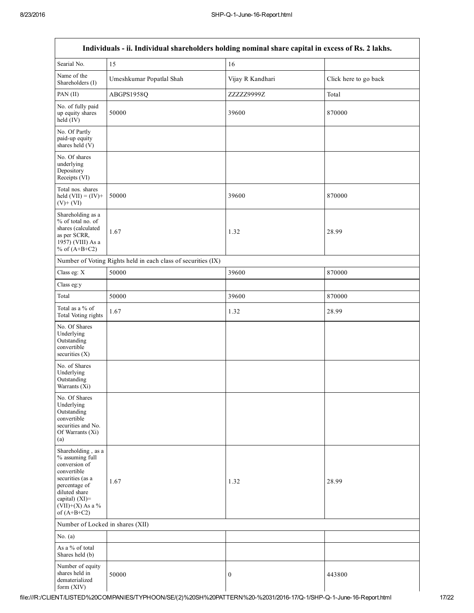Г

| Individuals - ii. Individual shareholders holding nominal share capital in excess of Rs. 2 lakhs.                                                                                    |                                                               |                  |                       |  |  |  |
|--------------------------------------------------------------------------------------------------------------------------------------------------------------------------------------|---------------------------------------------------------------|------------------|-----------------------|--|--|--|
| Searial No.                                                                                                                                                                          | 15                                                            | 16               |                       |  |  |  |
| Name of the<br>Shareholders (I)                                                                                                                                                      | Umeshkumar Popatlal Shah                                      | Vijay R Kandhari | Click here to go back |  |  |  |
| PAN (II)                                                                                                                                                                             | ABGPS1958Q                                                    | ZZZZZ9999Z       | Total                 |  |  |  |
| No. of fully paid<br>up equity shares<br>held (IV)                                                                                                                                   | 50000                                                         | 39600            | 870000                |  |  |  |
| No. Of Partly<br>paid-up equity<br>shares held (V)                                                                                                                                   |                                                               |                  |                       |  |  |  |
| No. Of shares<br>underlying<br>Depository<br>Receipts (VI)                                                                                                                           |                                                               |                  |                       |  |  |  |
| Total nos. shares<br>held $(VII) = (IV) +$<br>$(V)+(VI)$                                                                                                                             | 50000                                                         | 39600            | 870000                |  |  |  |
| Shareholding as a<br>% of total no. of<br>shares (calculated<br>as per SCRR,<br>1957) (VIII) As a<br>% of $(A+B+C2)$                                                                 | 1.67                                                          | 1.32             | 28.99                 |  |  |  |
|                                                                                                                                                                                      | Number of Voting Rights held in each class of securities (IX) |                  |                       |  |  |  |
| Class eg: X                                                                                                                                                                          | 50000                                                         | 39600            | 870000                |  |  |  |
| Class eg:y                                                                                                                                                                           |                                                               |                  |                       |  |  |  |
| Total                                                                                                                                                                                | 50000                                                         | 39600            | 870000                |  |  |  |
| Total as a % of<br>Total Voting rights                                                                                                                                               | 1.67                                                          | 1.32             | 28.99                 |  |  |  |
| No. Of Shares<br>Underlying<br>Outstanding<br>convertible<br>securities $(X)$                                                                                                        |                                                               |                  |                       |  |  |  |
| No. of Shares<br>Underlying<br>Outstanding<br>Warrants (Xi)                                                                                                                          |                                                               |                  |                       |  |  |  |
| No. Of Shares<br>Underlying<br>Outstanding<br>convertible<br>securities and No.<br>Of Warrants (Xi)<br>(a)                                                                           |                                                               |                  |                       |  |  |  |
| Shareholding, as a<br>% assuming full<br>conversion of<br>convertible<br>securities (as a<br>percentage of<br>diluted share<br>capital) (XI)=<br>$(VII)+(X)$ As a %<br>of $(A+B+C2)$ | 1.67                                                          | 1.32             | 28.99                 |  |  |  |
| Number of Locked in shares (XII)                                                                                                                                                     |                                                               |                  |                       |  |  |  |
| No. $(a)$                                                                                                                                                                            |                                                               |                  |                       |  |  |  |
| As a % of total<br>Shares held (b)                                                                                                                                                   |                                                               |                  |                       |  |  |  |
| Number of equity<br>shares held in<br>dematerialized<br>form (XIV)                                                                                                                   | 50000                                                         | $\mathbf{0}$     | 443800                |  |  |  |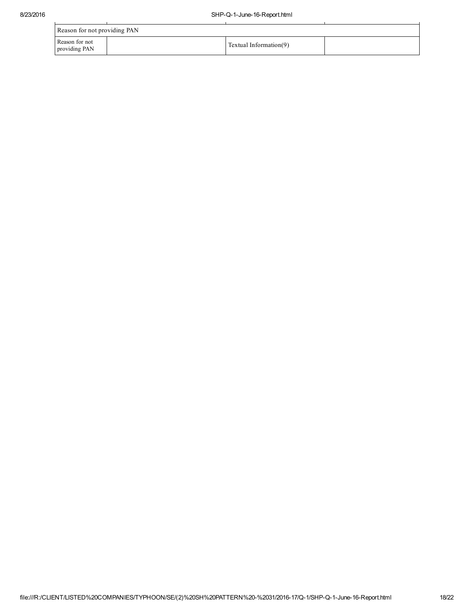ù.

| Reason for not providing PAN    |  |                        |  |  |  |  |
|---------------------------------|--|------------------------|--|--|--|--|
| Reason for not<br>providing PAN |  | Textual Information(9) |  |  |  |  |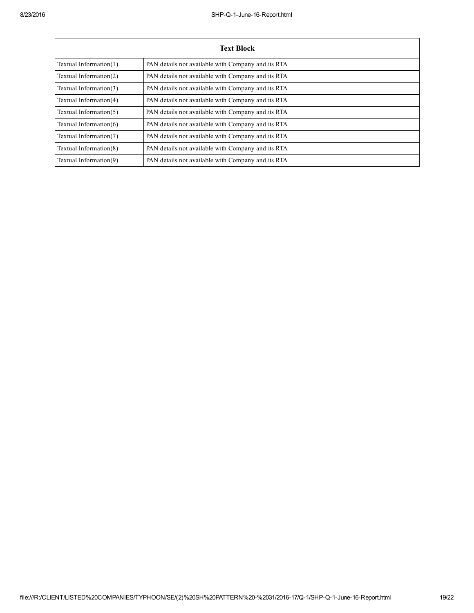| <b>Text Block</b>         |                                                    |  |  |  |  |
|---------------------------|----------------------------------------------------|--|--|--|--|
| Textual Information $(1)$ | PAN details not available with Company and its RTA |  |  |  |  |
| Textual Information(2)    | PAN details not available with Company and its RTA |  |  |  |  |
| Textual Information(3)    | PAN details not available with Company and its RTA |  |  |  |  |
| Textual Information(4)    | PAN details not available with Company and its RTA |  |  |  |  |
| Textual Information(5)    | PAN details not available with Company and its RTA |  |  |  |  |
| Textual Information $(6)$ | PAN details not available with Company and its RTA |  |  |  |  |
| Textual Information(7)    | PAN details not available with Company and its RTA |  |  |  |  |
| Textual Information(8)    | PAN details not available with Company and its RTA |  |  |  |  |
| Textual Information(9)    | PAN details not available with Company and its RTA |  |  |  |  |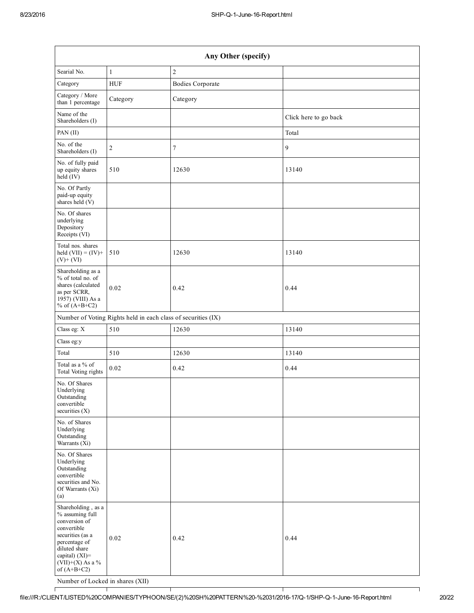| Any Other (specify)                                                                                                                                                                  |                                                               |                         |                       |  |  |  |
|--------------------------------------------------------------------------------------------------------------------------------------------------------------------------------------|---------------------------------------------------------------|-------------------------|-----------------------|--|--|--|
| Searial No.                                                                                                                                                                          | $\mathbf{1}$                                                  | $\overline{2}$          |                       |  |  |  |
| Category                                                                                                                                                                             | HUF                                                           | <b>Bodies Corporate</b> |                       |  |  |  |
| Category / More<br>than 1 percentage                                                                                                                                                 | Category                                                      | Category                |                       |  |  |  |
| Name of the<br>Shareholders (I)                                                                                                                                                      |                                                               |                         | Click here to go back |  |  |  |
| PAN (II)                                                                                                                                                                             |                                                               |                         | Total                 |  |  |  |
| No. of the<br>Shareholders (I)                                                                                                                                                       | 2                                                             | 7                       | 9                     |  |  |  |
| No. of fully paid<br>up equity shares<br>$held$ (IV)                                                                                                                                 | 510                                                           | 12630                   | 13140                 |  |  |  |
| No. Of Partly<br>paid-up equity<br>shares held $(V)$                                                                                                                                 |                                                               |                         |                       |  |  |  |
| No. Of shares<br>underlying<br>Depository<br>Receipts (VI)                                                                                                                           |                                                               |                         |                       |  |  |  |
| Total nos. shares<br>held $(VII) = (IV) +$<br>$(V)$ + $(VI)$                                                                                                                         | 510                                                           | 12630                   | 13140                 |  |  |  |
| Shareholding as a<br>% of total no. of<br>shares (calculated<br>as per SCRR,<br>1957) (VIII) As a<br>% of $(A+B+C2)$                                                                 | 0.02                                                          | 0.42                    | 0.44                  |  |  |  |
|                                                                                                                                                                                      | Number of Voting Rights held in each class of securities (IX) |                         |                       |  |  |  |
| Class eg: X                                                                                                                                                                          | 510                                                           | 12630                   | 13140                 |  |  |  |
| Class eg:y                                                                                                                                                                           |                                                               |                         |                       |  |  |  |
| Total                                                                                                                                                                                | 510                                                           | 12630                   | 13140                 |  |  |  |
| Total as a % of<br>Total Voting rights                                                                                                                                               | 0.02                                                          | 0.42                    | 0.44                  |  |  |  |
| No. Of Shares<br>Underlying<br>Outstanding<br>convertible<br>securities (X)                                                                                                          |                                                               |                         |                       |  |  |  |
| No. of Shares<br>Underlying<br>Outstanding<br>Warrants $(Xi)$                                                                                                                        |                                                               |                         |                       |  |  |  |
| No. Of Shares<br>Underlying<br>Outstanding<br>convertible<br>securities and No.<br>Of Warrants (Xi)<br>(a)                                                                           |                                                               |                         |                       |  |  |  |
| Shareholding, as a<br>% assuming full<br>conversion of<br>convertible<br>securities (as a<br>percentage of<br>diluted share<br>capital) (XI)=<br>$(VII)+(X)$ As a %<br>of $(A+B+C2)$ | 0.02                                                          | 0.42                    | 0.44                  |  |  |  |

Number of Locked in shares (XII)

Г

٦